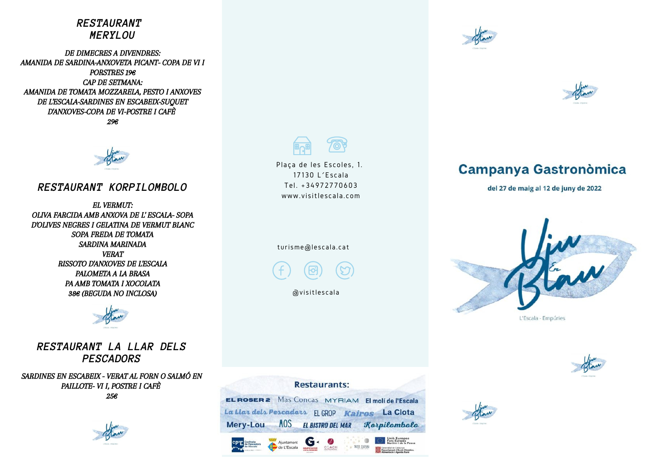## *RESTAURANT MERYLOU*

DE DIMECRES A DIVENDRES: AMANIDA DE SARDINA-ANXOVETA PICANT- COPA DE VI I PORSTRES 19€ CAP DE SETMANA: AMANIDA DE TOMATA MOZZARELA, PESTO I ANXOVES DE L'ESCALA-SARDINES EN ESCABEIX-SUQUET D'ANXOVES-COPA DE VI-POSTRE I CAFÈ 29€



### *RESTAURANT KORPILOMBOLO*

EL VERMUT: OLIVA FARCIDA AMB ANXOVA DE L' ESCALA- SOPA D'OLIVES NEGRES I GELATINA DE VERMUT BLANC SOPA FREDA DE TOMATA SARDINA MARINADA VERAT RISSOTO D'ANXOVES DE L'ESCALA PALOMETA A LA BRASA PA AMB TOMATA I XOCOLATA 38€ (BEGUDA NO INCLOSA)



*RESTAURANT LA LLAR DELS PESCADORS*

SARDINES EN ESCABEIX - VERAT AL FORN O SALMÓ EN PAILLOTE- VI I, POSTRE I CAFÈ 25€





Plaça de les Escoles, 1. 17130 L´Es cala Tel . +34972770603 www.visitlescala.com

#### turisme@lescala.cat

avisitles cala





# **Campanya Gastronòmica**

del 27 de maig al 12 de juny de 2022



L'Escala - Empúries

### **Restaurants:**

**EL ROSER 2** Mas Concas MYRIAM El molí de l'Escala La Llar dels Pescadars EL GROP Kairos La Clota **MOS EL BISTRO DEL MAR** Korpilombolo Mery-Lou

Aiuntament